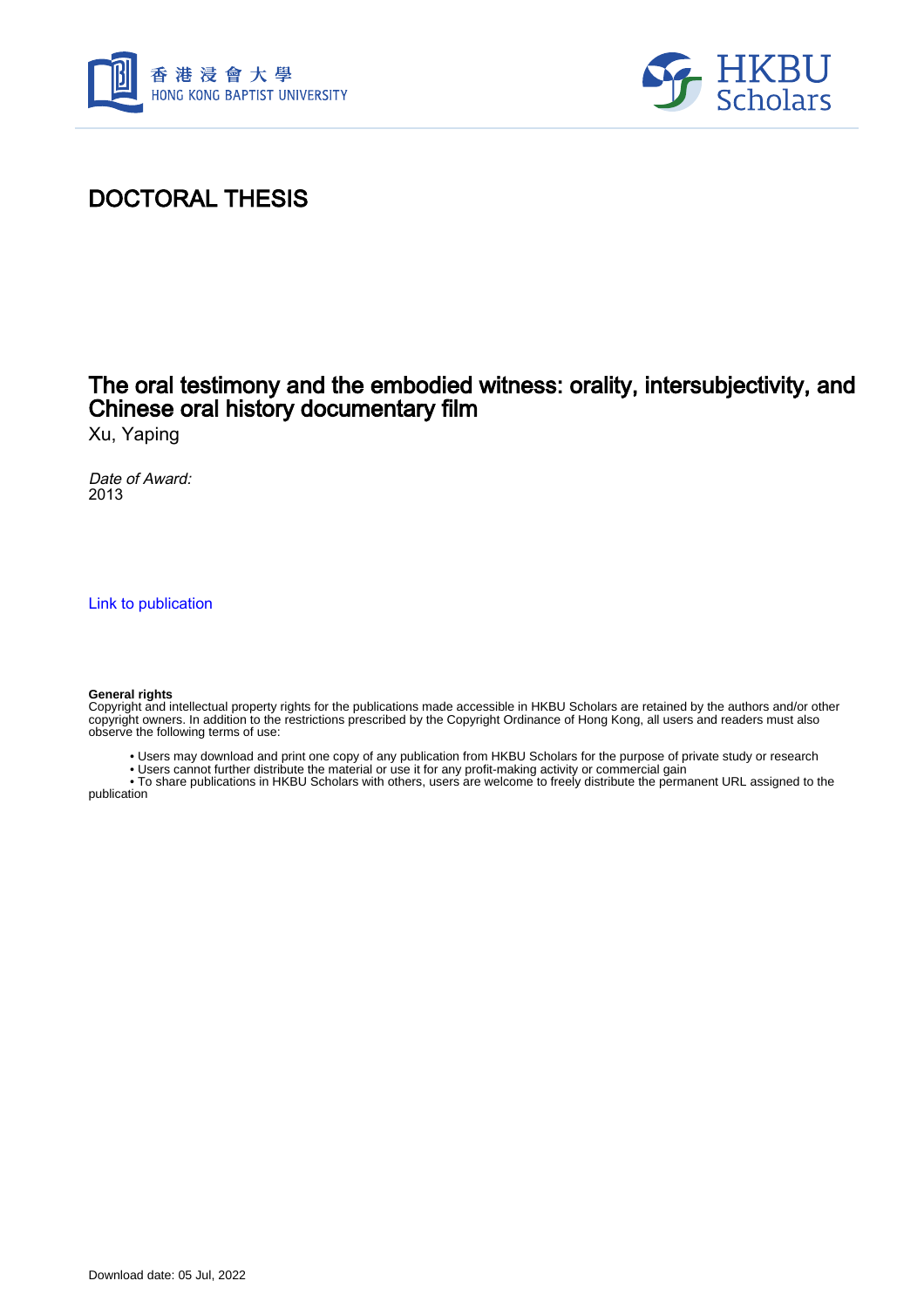



# DOCTORAL THESIS

## The oral testimony and the embodied witness: orality, intersubjectivity, and Chinese oral history documentary film

Xu, Yaping

Date of Award: 2013

[Link to publication](https://scholars.hkbu.edu.hk/en/studentTheses/ff980f60-84c0-46db-ad38-f61e71d30473)

#### **General rights**

Copyright and intellectual property rights for the publications made accessible in HKBU Scholars are retained by the authors and/or other copyright owners. In addition to the restrictions prescribed by the Copyright Ordinance of Hong Kong, all users and readers must also observe the following terms of use:

- Users may download and print one copy of any publication from HKBU Scholars for the purpose of private study or research
- Users cannot further distribute the material or use it for any profit-making activity or commercial gain

 • To share publications in HKBU Scholars with others, users are welcome to freely distribute the permanent URL assigned to the publication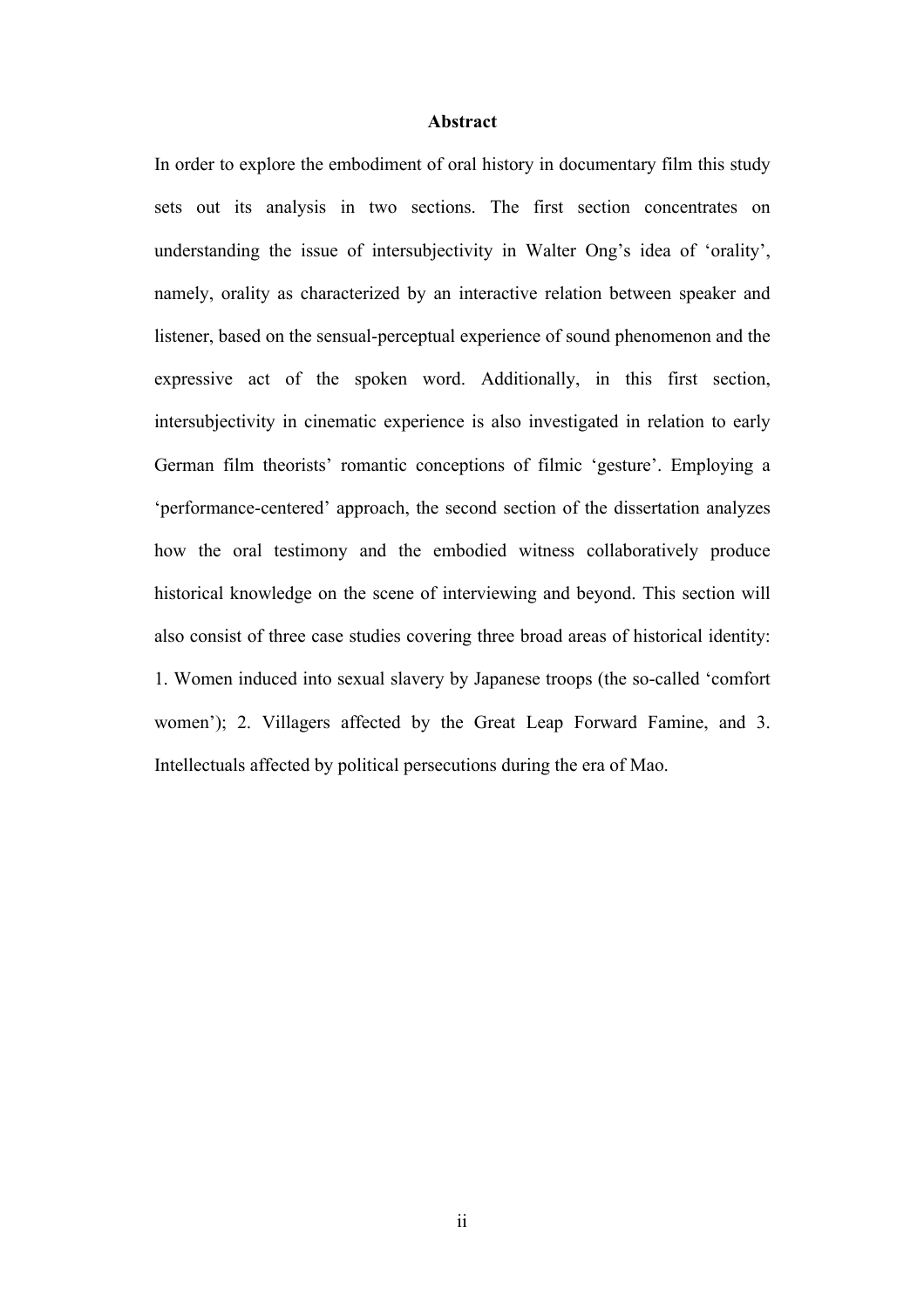#### **Abstract**

In order to explore the embodiment of oral history in documentary film this study sets out its analysis in two sections. The first section concentrates on understanding the issue of intersubjectivity in Walter Ong's idea of 'orality', namely, orality as characterized by an interactive relation between speaker and listener, based on the sensual-perceptual experience of sound phenomenon and the expressive act of the spoken word. Additionally, in this first section, intersubjectivity in cinematic experience is also investigated in relation to early German film theorists' romantic conceptions of filmic 'gesture'. Employing a 'performance-centered' approach, the second section of the dissertation analyzes how the oral testimony and the embodied witness collaboratively produce historical knowledge on the scene of interviewing and beyond. This section will also consist of three case studies covering three broad areas of historical identity: 1. Women induced into sexual slavery by Japanese troops (the so-called 'comfort women'); 2. Villagers affected by the Great Leap Forward Famine, and 3. Intellectuals affected by political persecutions during the era of Mao.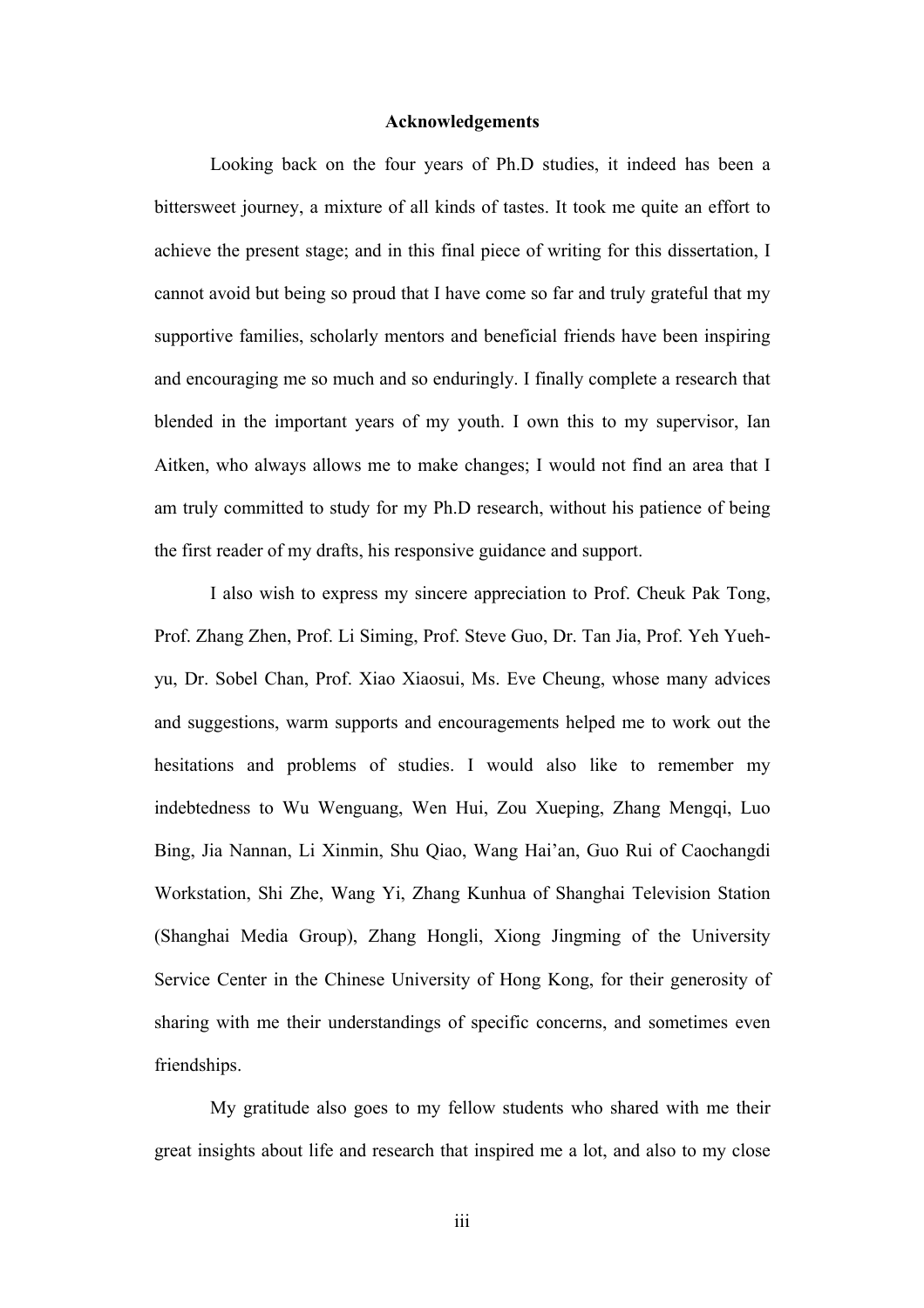### **Acknowledgements**

Looking back on the four years of Ph.D studies, it indeed has been a bittersweet journey, a mixture of all kinds of tastes. It took me quite an effort to achieve the present stage; and in this final piece of writing for this dissertation, I cannot avoid but being so proud that I have come so far and truly grateful that my supportive families, scholarly mentors and beneficial friends have been inspiring and encouraging me so much and so enduringly. I finally complete a research that blended in the important years of my youth. I own this to my supervisor, Ian Aitken, who always allows me to make changes; I would not find an area that I am truly committed to study for my Ph.D research, without his patience of being the first reader of my drafts, his responsive guidance and support.

I also wish to express my sincere appreciation to Prof. Cheuk Pak Tong, Prof. Zhang Zhen, Prof. Li Siming, Prof. Steve Guo, Dr. Tan Jia, Prof. Yeh Yuehyu, Dr. Sobel Chan, Prof. Xiao Xiaosui, Ms. Eve Cheung, whose many advices and suggestions, warm supports and encouragements helped me to work out the hesitations and problems of studies. I would also like to remember my indebtedness to Wu Wenguang, Wen Hui, Zou Xueping, Zhang Mengqi, Luo Bing, Jia Nannan, Li Xinmin, Shu Qiao, Wang Hai'an, Guo Rui of Caochangdi Workstation, Shi Zhe, Wang Yi, Zhang Kunhua of Shanghai Television Station (Shanghai Media Group), Zhang Hongli, Xiong Jingming of the University Service Center in the Chinese University of Hong Kong, for their generosity of sharing with me their understandings of specific concerns, and sometimes even friendships.

My gratitude also goes to my fellow students who shared with me their great insights about life and research that inspired me a lot, and also to my close

iii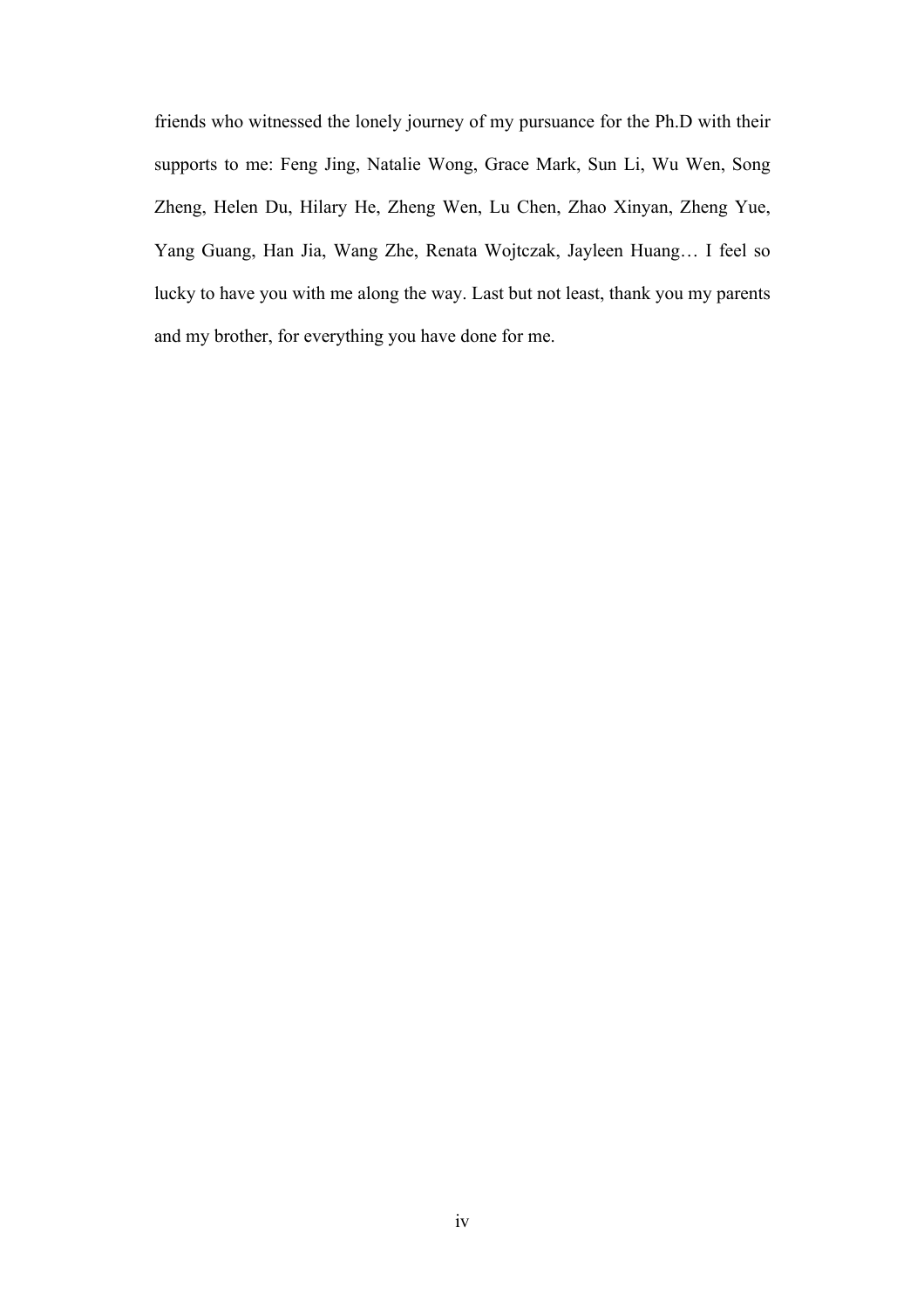friends who witnessed the lonely journey of my pursuance for the Ph.D with their supports to me: Feng Jing, Natalie Wong, Grace Mark, Sun Li, Wu Wen, Song Zheng, Helen Du, Hilary He, Zheng Wen, Lu Chen, Zhao Xinyan, Zheng Yue, Yang Guang, Han Jia, Wang Zhe, Renata Wojtczak, Jayleen Huang… I feel so lucky to have you with me along the way. Last but not least, thank you my parents and my brother, for everything you have done for me.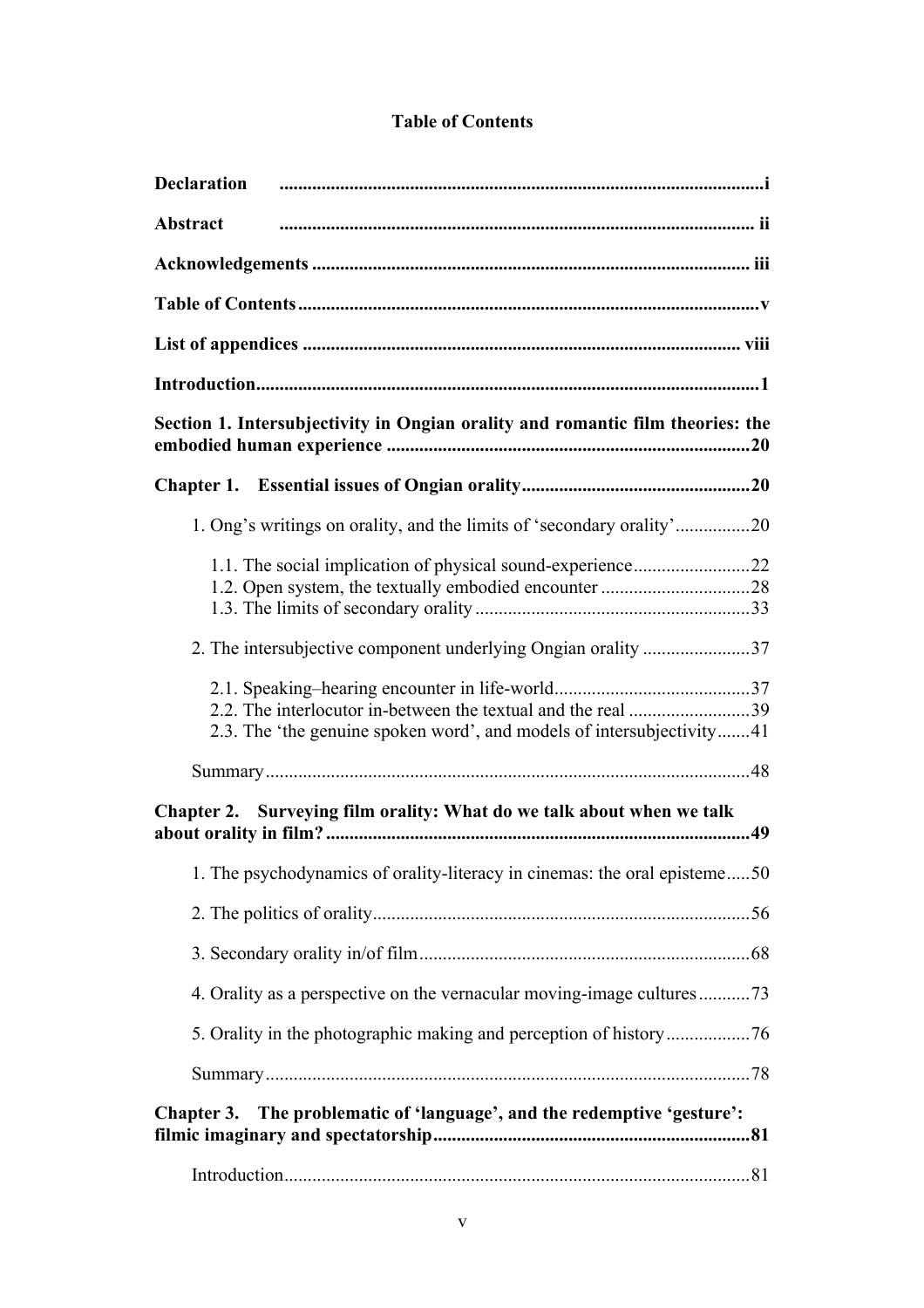### **Table of Contents**

| <b>Declaration</b>                                                                |  |  |  |
|-----------------------------------------------------------------------------------|--|--|--|
| Abstract                                                                          |  |  |  |
|                                                                                   |  |  |  |
|                                                                                   |  |  |  |
|                                                                                   |  |  |  |
|                                                                                   |  |  |  |
| Section 1. Intersubjectivity in Ongian orality and romantic film theories: the    |  |  |  |
|                                                                                   |  |  |  |
| 1. Ong's writings on orality, and the limits of 'secondary orality'20             |  |  |  |
|                                                                                   |  |  |  |
|                                                                                   |  |  |  |
| 2.3. The 'the genuine spoken word', and models of intersubjectivity41             |  |  |  |
|                                                                                   |  |  |  |
| Surveying film orality: What do we talk about when we talk<br><b>Chapter 2.</b>   |  |  |  |
| 1. The psychodynamics of orality-literacy in cinemas: the oral episteme50         |  |  |  |
|                                                                                   |  |  |  |
|                                                                                   |  |  |  |
| 4. Orality as a perspective on the vernacular moving-image cultures 73            |  |  |  |
|                                                                                   |  |  |  |
|                                                                                   |  |  |  |
| The problematic of 'language', and the redemptive 'gesture':<br><b>Chapter 3.</b> |  |  |  |
|                                                                                   |  |  |  |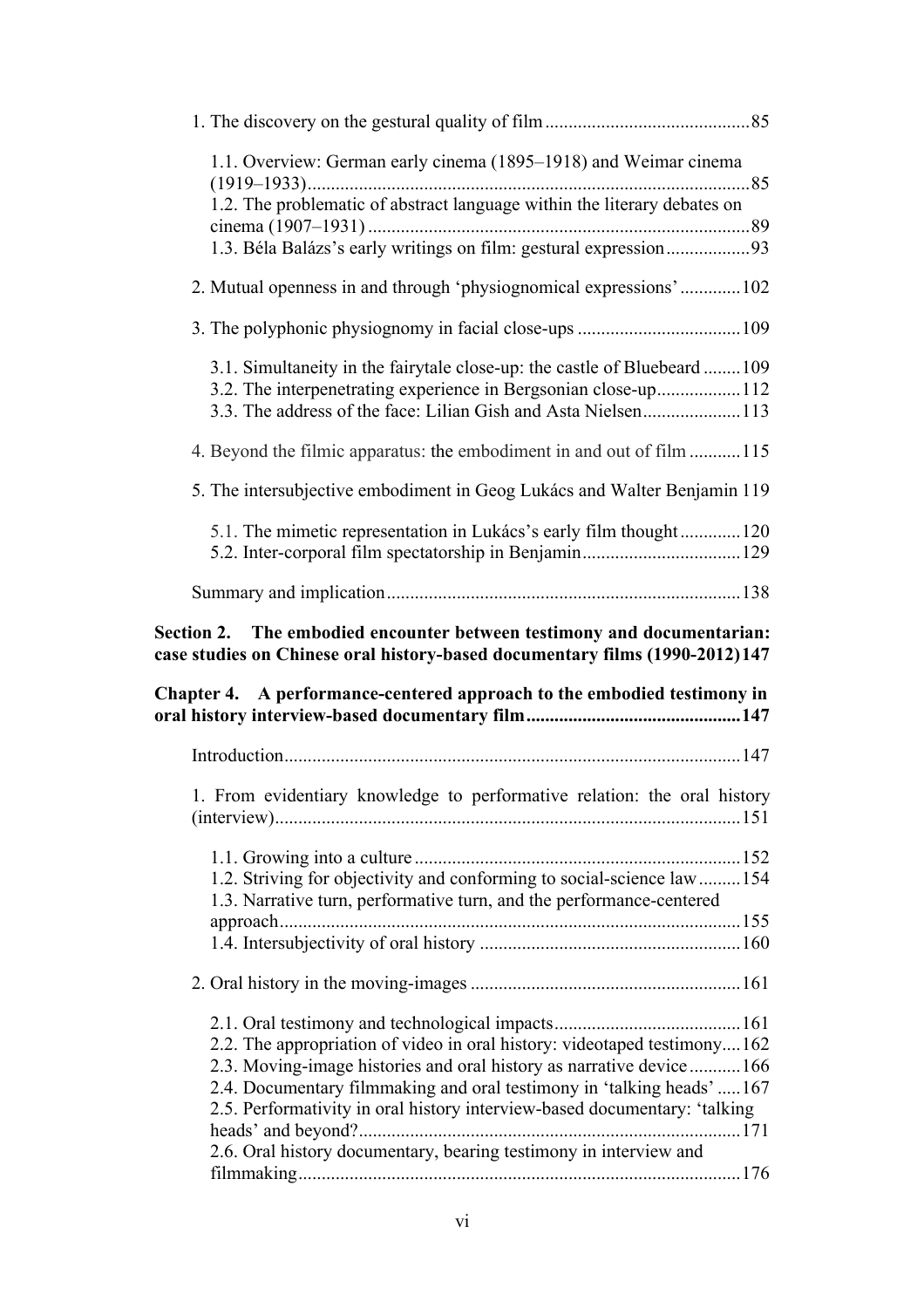| 1.1. Overview: German early cinema (1895–1918) and Weimar cinema                                                                                                                                            |  |
|-------------------------------------------------------------------------------------------------------------------------------------------------------------------------------------------------------------|--|
| 1.2. The problematic of abstract language within the literary debates on<br>1.3. Béla Balázs's early writings on film: gestural expression93                                                                |  |
| 2. Mutual openness in and through 'physiognomical expressions'102                                                                                                                                           |  |
|                                                                                                                                                                                                             |  |
| 3.1. Simultaneity in the fairytale close-up: the castle of Bluebeard 109<br>3.2. The interpenetrating experience in Bergsonian close-up112<br>3.3. The address of the face: Lilian Gish and Asta Nielsen113 |  |
| 4. Beyond the filmic apparatus: the embodiment in and out of film 115                                                                                                                                       |  |
| 5. The intersubjective embodiment in Geog Lukács and Walter Benjamin 119                                                                                                                                    |  |
| 5.1. The mimetic representation in Lukács's early film thought120                                                                                                                                           |  |
|                                                                                                                                                                                                             |  |
|                                                                                                                                                                                                             |  |
| Section 2. The embodied encounter between testimony and documentarian:<br>case studies on Chinese oral history-based documentary films (1990-2012)147                                                       |  |
| Chapter 4. A performance-centered approach to the embodied testimony in                                                                                                                                     |  |
|                                                                                                                                                                                                             |  |
| 1. From evidentiary knowledge to performative relation: the oral history                                                                                                                                    |  |
| 1.2. Striving for objectivity and conforming to social-science law  154<br>1.3. Narrative turn, performative turn, and the performance-centered                                                             |  |
|                                                                                                                                                                                                             |  |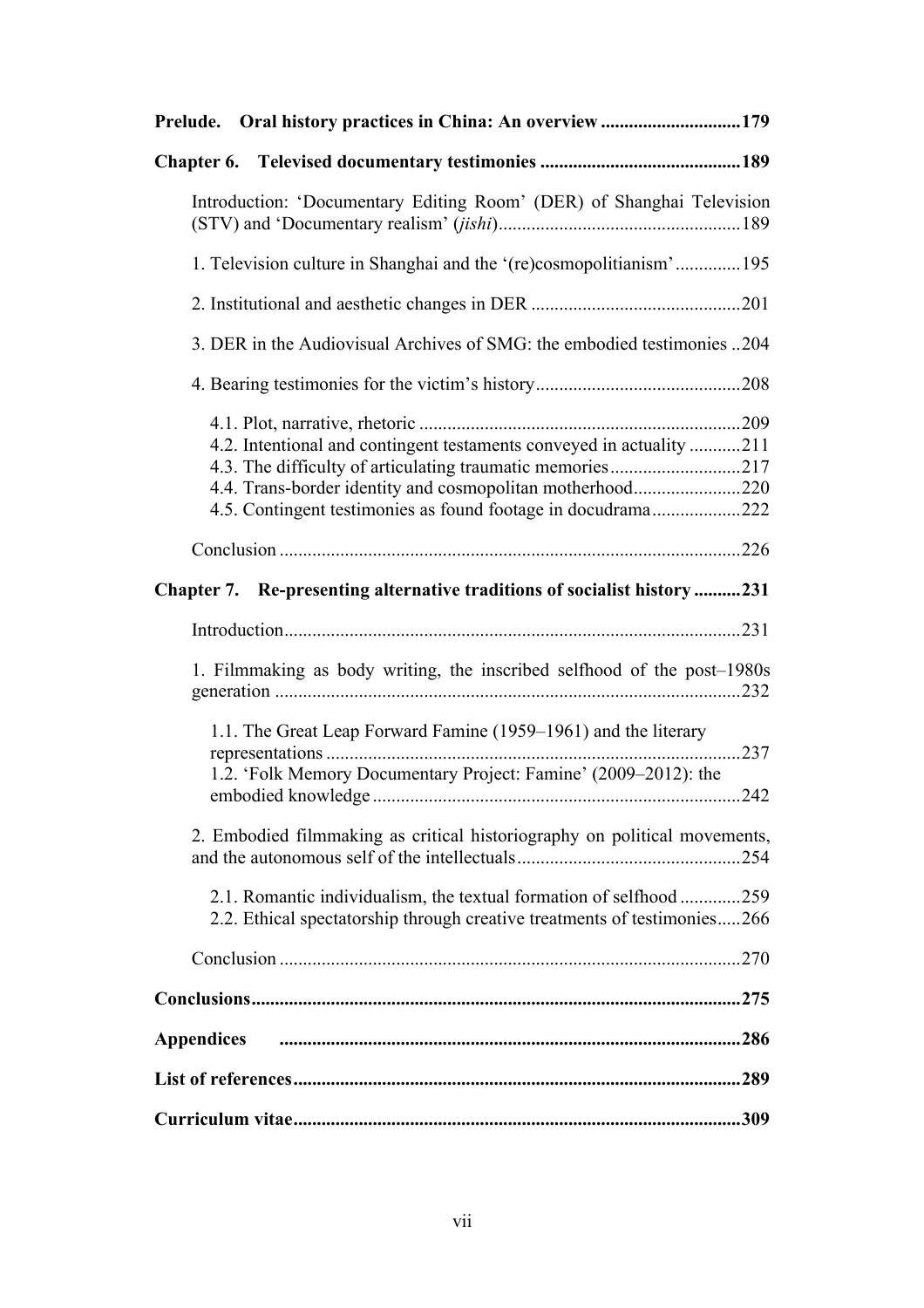| Chapter 6.                                                                                                                                     |
|------------------------------------------------------------------------------------------------------------------------------------------------|
| Introduction: 'Documentary Editing Room' (DER) of Shanghai Television                                                                          |
| 1. Television culture in Shanghai and the '(re)cosmopolitianism'195                                                                            |
|                                                                                                                                                |
| 3. DER in the Audiovisual Archives of SMG: the embodied testimonies 204                                                                        |
|                                                                                                                                                |
|                                                                                                                                                |
| 4.2. Intentional and contingent testaments conveyed in actuality 211                                                                           |
|                                                                                                                                                |
|                                                                                                                                                |
| 4.4. Trans-border identity and cosmopolitan motherhood220                                                                                      |
| 4.5. Contingent testimonies as found footage in docudrama222                                                                                   |
|                                                                                                                                                |
| Chapter 7. Re-presenting alternative traditions of socialist history 231                                                                       |
|                                                                                                                                                |
| 1. Filmmaking as body writing, the inscribed selfhood of the post-1980s                                                                        |
| 1.1. The Great Leap Forward Famine (1959–1961) and the literary                                                                                |
| 1.2. 'Folk Memory Documentary Project: Famine' (2009–2012): the                                                                                |
| 2. Embodied filmmaking as critical historiography on political movements,                                                                      |
| 2.1. Romantic individualism, the textual formation of selfhood 259<br>2.2. Ethical spectatorship through creative treatments of testimonies266 |
|                                                                                                                                                |
|                                                                                                                                                |
| <b>Appendices</b>                                                                                                                              |
|                                                                                                                                                |
|                                                                                                                                                |